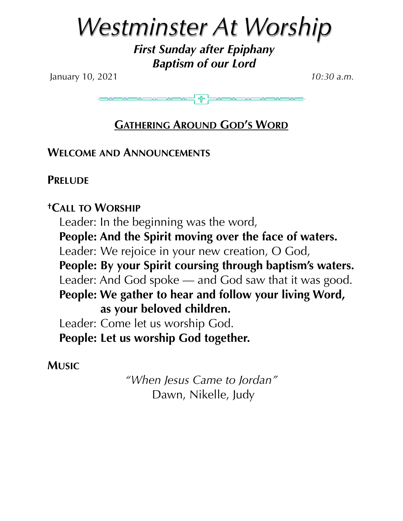# *Westminster At Worship*

*First Sunday after Epiphany Baptism of our Lord* 

January 10, 2021 *10:30 a.m.*

E

## **GATHERING AROUND GOD'S WORD**

**WELCOME AND ANNOUNCEMENTS**

**PRELUDE** 

**†CALL TO WORSHIP** Leader: In the beginning was the word, **People: And the Spirit moving over the face of waters.**  Leader: We rejoice in your new creation, O God, **People: By your Spirit coursing through baptism's waters.**  Leader: And God spoke — and God saw that it was good. **People: We gather to hear and follow your living Word, as your beloved children.**  Leader: Come let us worship God. **People: Let us worship God together.** 

**MUSIC**

*"When Jesus Came to Jordan"*  Dawn, Nikelle, Judy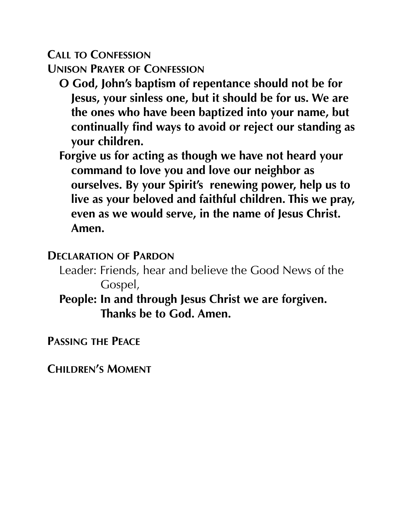**CALL TO CONFESSION UNISON PRAYER OF CONFESSION**

- **O God, John's baptism of repentance should not be for Jesus, your sinless one, but it should be for us. We are the ones who have been baptized into your name, but continually find ways to avoid or reject our standing as your children.**
- **Forgive us for acting as though we have not heard your command to love you and love our neighbor as ourselves. By your Spirit's renewing power, help us to live as your beloved and faithful children. This we pray, even as we would serve, in the name of Jesus Christ. Amen.**

#### **DECLARATION OF PARDON**

- Leader: Friends, hear and believe the Good News of the Gospel,
- **People: In and through Jesus Christ we are forgiven. Thanks be to God. Amen.**

**PASSING THE PEACE**

**CHILDREN'S MOMENT**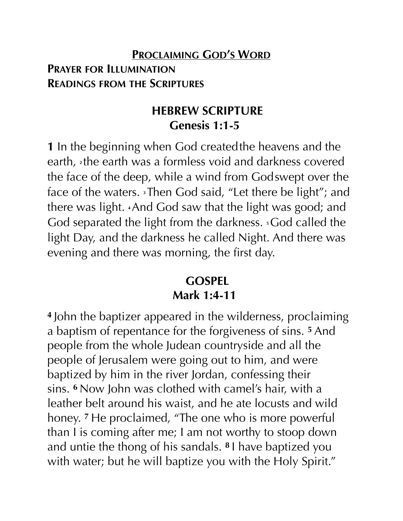## **PROCLAIMING GOD'S WORD PRAYER FOR ILLUMINATION READINGS FROM THE SCRIPTURES**

## **HEBREW SCRIPTURE Genesis 1:1-5**

**1** In the beginning when God createdthe heavens and the earth, **<sup>2</sup>** the earth was a formless void and darkness covered the face of the deep, while a wind from Godswept over the face of the waters. **<sup>3</sup>** Then God said, "Let there be light"; and there was light. **<sup>4</sup>**And God saw that the light was good; and God separated the light from the darkness. **<sup>5</sup>**God called the light Day, and the darkness he called Night. And there was evening and there was morning, the first day.

## **GOSPEL Mark 1:4-11**

**<sup>4</sup>** John the baptizer appeared in the wilderness, proclaiming a baptism of repentance for the forgiveness of sins. **<sup>5</sup>** And people from the whole Judean countryside and all the people of Jerusalem were going out to him, and were baptized by him in the river Jordan, confessing their sins. **<sup>6</sup>** Now John was clothed with camel's hair, with a leather belt around his waist, and he ate locusts and wild honey. **<sup>7</sup>** He proclaimed, "The one who is more powerful than I is coming after me; I am not worthy to stoop down and untie the thong of his sandals. **<sup>8</sup>** I have baptized you with water; but he will baptize you with the Holy Spirit."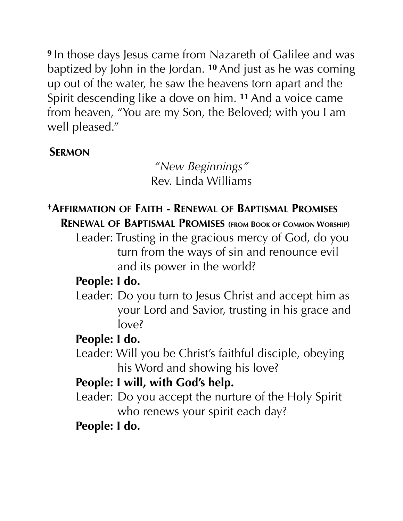**<sup>9</sup>** In those days Jesus came from Nazareth of Galilee and was baptized by John in the Jordan. **<sup>10</sup>** And just as he was coming up out of the water, he saw the heavens torn apart and the Spirit descending like a dove on him. **<sup>11</sup>** And a voice came from heaven, "You are my Son, the Beloved; with you I am well pleased."

## **SERMON**

*"New Beginnings"*  Rev. Linda Williams

## **†AFFIRMATION OF FAITH - RENEWAL OF BAPTISMAL PROMISES**

**RENEWAL OF BAPTISMAL PROMISES (FROM BOOK OF COMMON WORSHIP)** 

Leader: Trusting in the gracious mercy of God, do you turn from the ways of sin and renounce evil and its power in the world?

## **People: I do.**

 Leader: Do you turn to Jesus Christ and accept him as your Lord and Savior, trusting in his grace and love?

## **People: I do.**

 Leader: Will you be Christ's faithful disciple, obeying his Word and showing his love?

## **People: I will, with God's help.**

 Leader: Do you accept the nurture of the Holy Spirit who renews your spirit each day?

## **People: I do.**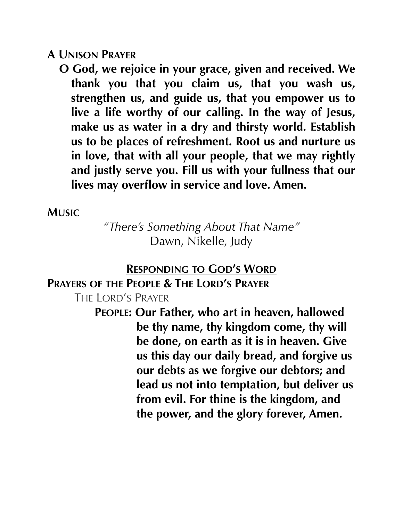#### **A UNISON PRAYER**

**O God, we rejoice in your grace, given and received. We thank you that you claim us, that you wash us, strengthen us, and guide us, that you empower us to live a life worthy of our calling. In the way of Jesus, make us as water in a dry and thirsty world. Establish us to be places of refreshment. Root us and nurture us in love, that with all your people, that we may rightly and justly serve you. Fill us with your fullness that our lives may overflow in service and love. Amen.** 

#### **MUSIC**

*"There's Something About That Name"*  Dawn, Nikelle, Judy

#### **RESPONDING TO GOD'S WORD**

#### **PRAYERS OF THE PEOPLE & THE LORD'S PRAYER**

THE LORD'S PRAYER

**PEOPLE: Our Father, who art in heaven, hallowed be thy name, thy kingdom come, thy will be done, on earth as it is in heaven. Give us this day our daily bread, and forgive us our debts as we forgive our debtors; and lead us not into temptation, but deliver us from evil. For thine is the kingdom, and the power, and the glory forever, Amen.**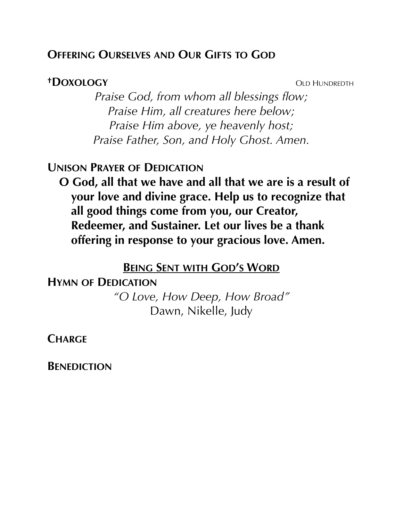#### **OFFERING OURSELVES AND OUR GIFTS TO GOD**

#### **<sup>†</sup>DOXOLOGY** OLD HUNDREDTH

*Praise God, from whom all blessings flow; Praise Him, all creatures here below; Praise Him above, ye heavenly host; Praise Father, Son, and Holy Ghost. Amen.* 

#### **UNISON PRAYER OF DEDICATION**

**O God, all that we have and all that we are is a result of your love and divine grace. Help us to recognize that all good things come from you, our Creator, Redeemer, and Sustainer. Let our lives be a thank offering in response to your gracious love. Amen.** 

#### **BEING SENT WITH GOD'S WORD**

**HYMN OF DEDICATION**  *"O Love, How Deep, How Broad"*  Dawn, Nikelle, Judy

**CHARGE**

**BENEDICTION**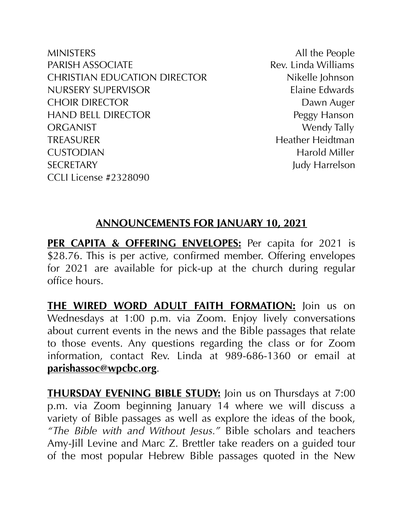MINISTERS All the People PARISH ASSOCIATE **Rev.** Linda Williams CHRISTIAN EDUCATION DIRECTOR Nikelle Johnson NURSERY SUPERVISOR Elaine Edwards CHOIR DIRECTOR DAWN Auger HAND BELL DIRECTOR Peggy Hanson ORGANIST Wendy Tally TREASURER Heidtman Heather Heidtman CUSTODIAN Harold Miller SECRETARY Judy Harrelson CCLI License #2328090

#### **ANNOUNCEMENTS FOR JANUARY 10, 2021**

**PER CAPITA & OFFERING ENVELOPES:** Per capita for 2021 is \$28.76. This is per active, confirmed member. Offering envelopes for 2021 are available for pick-up at the church during regular office hours.

**THE WIRED WORD ADULT FAITH FORMATION:** Join us on Wednesdays at 1:00 p.m. via Zoom. Enjoy lively conversations about current events in the news and the Bible passages that relate to those events. Any questions regarding the class or for Zoom information, contact Rev. Linda at 989-686-1360 or email at **[parishassoc@wpcbc.org](mailto:parishassoc@wpcbc.org)**.

**THURSDAY EVENING BIBLE STUDY:** Join us on Thursdays at 7:00 p.m. via Zoom beginning January 14 where we will discuss a variety of Bible passages as well as explore the ideas of the book, *"The Bible with and Without Jesus."* Bible scholars and teachers Amy-Jill Levine and Marc Z. Brettler take readers on a guided tour of the most popular Hebrew Bible passages quoted in the New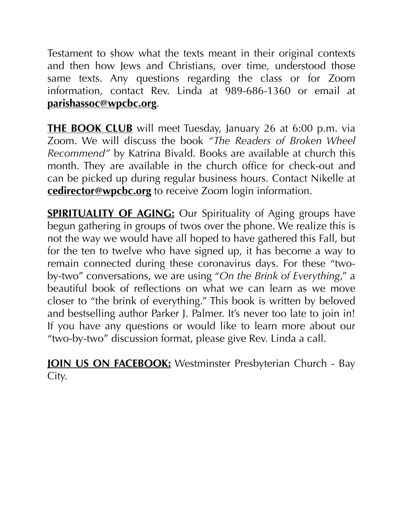Testament to show what the texts meant in their original contexts and then how Jews and Christians, over time, understood those same texts. Any questions regarding the class or for Zoom information, contact Rev. Linda at 989-686-1360 or email at **[parishassoc@wpcbc.org](mailto:parishassoc@wpcbc.org)**.

**THE BOOK CLUB** will meet Tuesday, January 26 at 6:00 p.m. via Zoom. We will discuss the book *"The Readers of Broken Wheel Recommend"* by Katrina Bivald. Books are available at church this month. They are available in the church office for check-out and can be picked up during regular business hours. Contact Nikelle at **[cedirector@wpcbc.org](mailto:cedirector@wpcbc.org)** to receive Zoom login information.

**SPIRITUALITY OF AGING:** Our Spirituality of Aging groups have begun gathering in groups of twos over the phone. We realize this is not the way we would have all hoped to have gathered this Fall, but for the ten to twelve who have signed up, it has become a way to remain connected during these coronavirus days. For these "twoby-two" conversations, we are using "*On the Brink of Everything*," a beautiful book of reflections on what we can learn as we move closer to "the brink of everything." This book is written by beloved and bestselling author Parker J. Palmer. It's never too late to join in! If you have any questions or would like to learn more about our "two-by-two" discussion format, please give Rev. Linda a call.

**JOIN US ON FACEBOOK:** Westminster Presbyterian Church - Bay City.